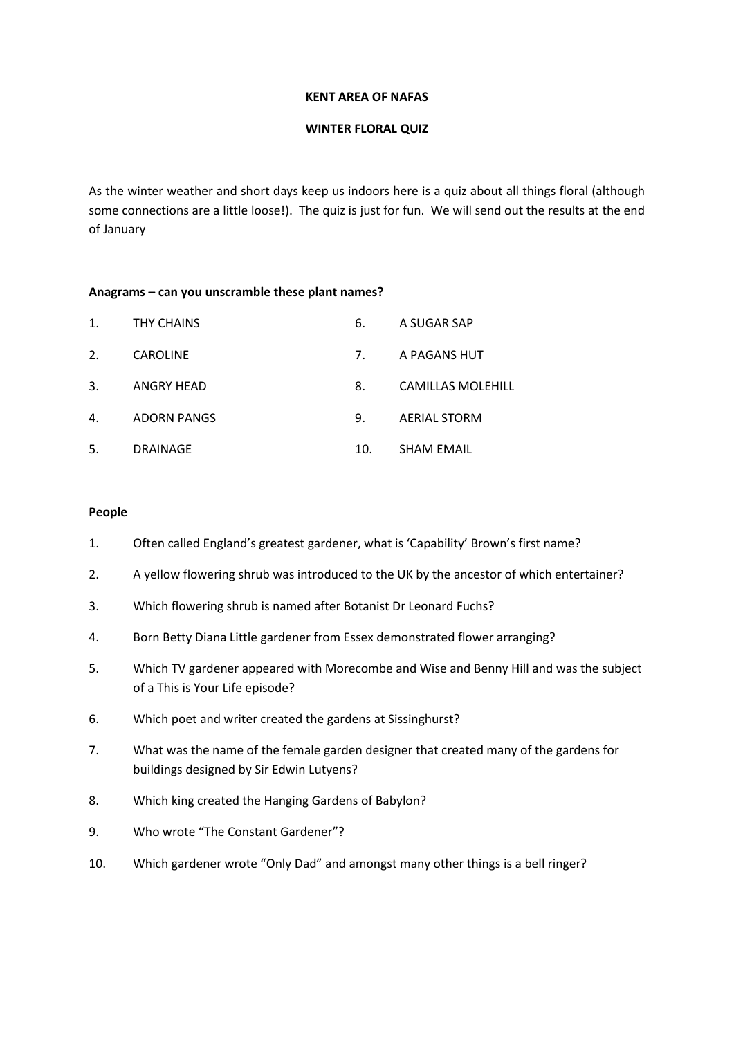### **KENT AREA OF NAFAS**

### **WINTER FLORAL QUIZ**

As the winter weather and short days keep us indoors here is a quiz about all things floral (although some connections are a little loose!). The quiz is just for fun. We will send out the results at the end of January

### **Anagrams – can you unscramble these plant names?**

| 1.                   | THY CHAINS         | 6.  | A SUGAR SAP              |
|----------------------|--------------------|-----|--------------------------|
| 2.                   | <b>CAROLINE</b>    | 7.  | A PAGANS HUT             |
| 3.                   | ANGRY HEAD         | 8.  | <b>CAMILLAS MOLEHILL</b> |
| $\mathbf{A}_{\cdot}$ | <b>ADORN PANGS</b> | 9.  | <b>AERIAL STORM</b>      |
| 5.                   | <b>DRAINAGE</b>    | 10. | <b>SHAM EMAIL</b>        |

## **People**

- 1. Often called England's greatest gardener, what is 'Capability' Brown's first name?
- 2. A yellow flowering shrub was introduced to the UK by the ancestor of which entertainer?
- 3. Which flowering shrub is named after Botanist Dr Leonard Fuchs?
- 4. Born Betty Diana Little gardener from Essex demonstrated flower arranging?
- 5. Which TV gardener appeared with Morecombe and Wise and Benny Hill and was the subject of a This is Your Life episode?
- 6. Which poet and writer created the gardens at Sissinghurst?
- 7. What was the name of the female garden designer that created many of the gardens for buildings designed by Sir Edwin Lutyens?
- 8. Which king created the Hanging Gardens of Babylon?
- 9. Who wrote "The Constant Gardener"?
- 10. Which gardener wrote "Only Dad" and amongst many other things is a bell ringer?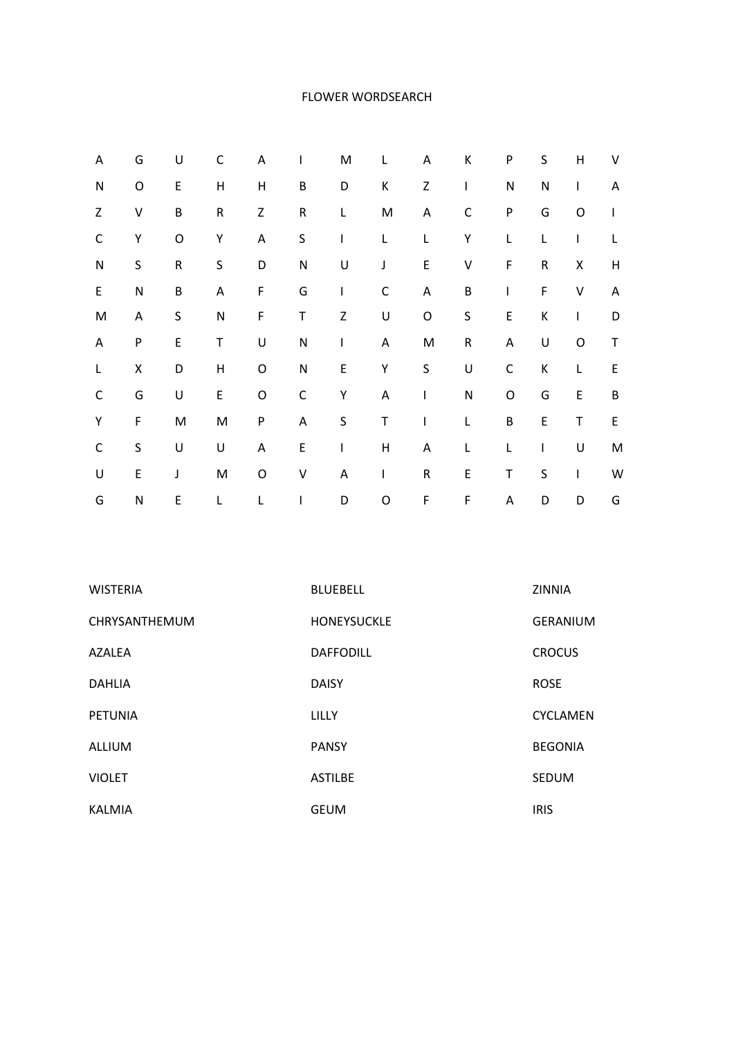### FLOWER WORDSEARCH

| Α            | G         | U         | C            | A                         | I            | M       | L            | A           | К           | ${\sf P}$   | $\sf S$     | H            | V |
|--------------|-----------|-----------|--------------|---------------------------|--------------|---------|--------------|-------------|-------------|-------------|-------------|--------------|---|
| $\mathsf{N}$ | O         | E         | H            | $\boldsymbol{\mathsf{H}}$ | $\sf B$      | D       | К            | Z           | I           | ${\sf N}$   | ${\sf N}$   | $\mathsf{I}$ | Α |
| Z            | V         | $\sf B$   | ${\sf R}$    | Z                         | ${\sf R}$    | L       | M            | A           | C           | ${\sf P}$   | G           | O            | L |
| $\mathsf C$  | Υ         | O         | Υ            | A                         | S            | I       | L            | L           | Υ           | L           | L           | T            | Г |
| $\mathsf{N}$ | $\sf S$   | ${\sf R}$ | $\sf S$      | D                         | $\mathsf{N}$ | $\sf U$ | $\mathsf J$  | $\mathsf E$ | $\sf V$     | F           | ${\sf R}$   | Χ            | Н |
| E            | ${\sf N}$ | B         | A            | F                         | G            | I       | $\mathsf C$  | A           | $\sf B$     | L           | F           | $\sf V$      | A |
| M            | Α         | S         | N            | F                         | $\sf T$      | Z       | U            | O           | $\sf S$     | $\mathsf E$ | К           | $\mathsf{I}$ | D |
| A            | P         | E         | T            | $\sf U$                   | $\mathsf{N}$ | I       | A            | M           | ${\sf R}$   | A           | U           | $\mathsf O$  | T |
| L            | X         | D         | $\mathsf{H}$ | $\mathsf O$               | $\mathsf{N}$ | E       | Υ            | $\sf S$     | U           | $\mathsf C$ | К           | L            | E |
| $\mathsf C$  | G         | U         | E            | $\mathsf O$               | $\mathsf C$  | Υ       | $\mathsf A$  | I           | ${\sf N}$   | O           | G           | $\mathsf E$  | B |
| Υ            | F         | M         | M            | P                         | A            | S       | Τ            | I           | L           | $\sf B$     | $\mathsf E$ | Τ            | E |
| $\mathsf C$  | $\sf S$   | U         | U            | A                         | E            | I       | $\mathsf{H}$ | A           | L           | L           | T           | U            | M |
| U            | E         | J         | M            | O                         | V            | A       | L            | ${\sf R}$   | E           | T           | $\sf S$     | $\mathsf{I}$ | W |
| G            | ${\sf N}$ | E         | L            | L                         | I            | D       | O            | $\mathsf F$ | $\mathsf F$ | A           | D           | D            | G |

| <b>WISTERIA</b> | <b>BLUEBELL</b>    | ZINNIA          |
|-----------------|--------------------|-----------------|
| CHRYSANTHEMUM   | <b>HONEYSUCKLE</b> | <b>GERANIUM</b> |
| AZALEA          | <b>DAFFODILL</b>   | <b>CROCUS</b>   |
| <b>DAHLIA</b>   | <b>DAISY</b>       | <b>ROSE</b>     |
| <b>PETUNIA</b>  | LILLY              | <b>CYCLAMEN</b> |
| ALLIUM          | <b>PANSY</b>       | <b>BEGONIA</b>  |
| <b>VIOLET</b>   | <b>ASTILBE</b>     | <b>SEDUM</b>    |
| KALMIA          | <b>GEUM</b>        | <b>IRIS</b>     |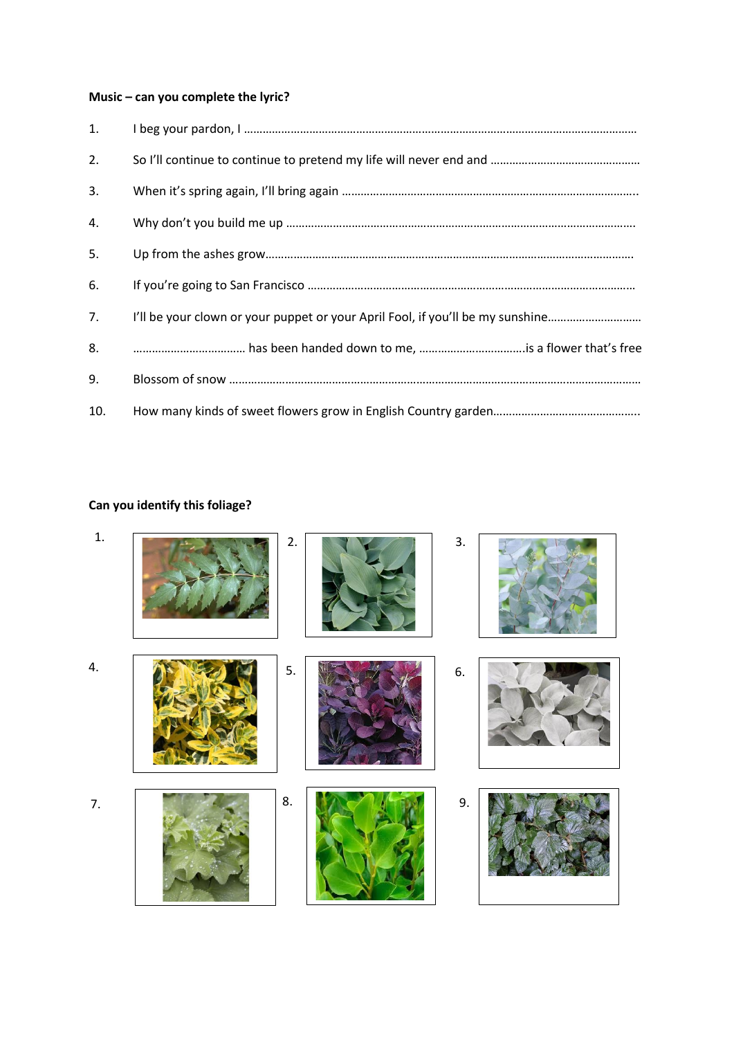# **Music – can you complete the lyric?**

| 1.  |                                                                                |
|-----|--------------------------------------------------------------------------------|
| 2.  |                                                                                |
| 3.  |                                                                                |
| 4.  |                                                                                |
| 5.  |                                                                                |
| 6.  |                                                                                |
| 7.  | I'll be your clown or your puppet or your April Fool, if you'll be my sunshine |
| 8.  |                                                                                |
| 9.  |                                                                                |
| 10. |                                                                                |

# **Can you identify this foliage?**

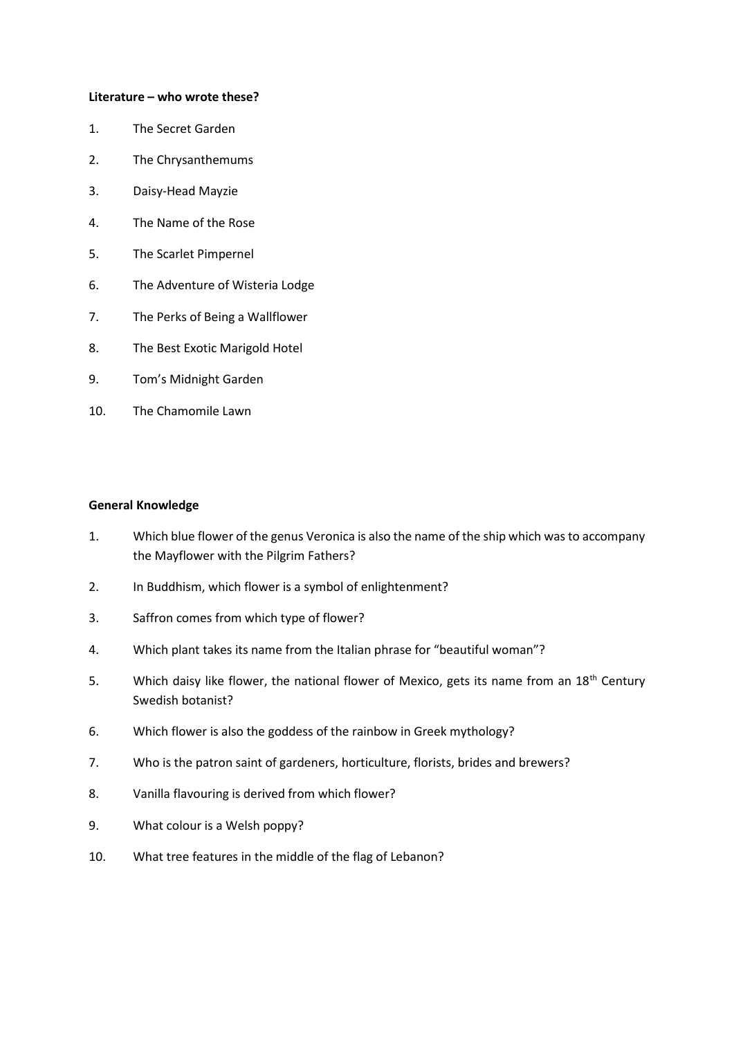#### **Literature – who wrote these?**

- 1. The Secret Garden
- 2. The Chrysanthemums
- 3. Daisy-Head Mayzie
- 4. The Name of the Rose
- 5. The Scarlet Pimpernel
- 6. The Adventure of Wisteria Lodge
- 7. The Perks of Being a Wallflower
- 8. The Best Exotic Marigold Hotel
- 9. Tom's Midnight Garden
- 10. The Chamomile Lawn

### **General Knowledge**

- 1. Which blue flower of the genus Veronica is also the name of the ship which was to accompany the Mayflower with the Pilgrim Fathers?
- 2. In Buddhism, which flower is a symbol of enlightenment?
- 3. Saffron comes from which type of flower?
- 4. Which plant takes its name from the Italian phrase for "beautiful woman"?
- 5. Which daisy like flower, the national flower of Mexico, gets its name from an 18<sup>th</sup> Century Swedish botanist?
- 6. Which flower is also the goddess of the rainbow in Greek mythology?
- 7. Who is the patron saint of gardeners, horticulture, florists, brides and brewers?
- 8. Vanilla flavouring is derived from which flower?
- 9. What colour is a Welsh poppy?
- 10. What tree features in the middle of the flag of Lebanon?